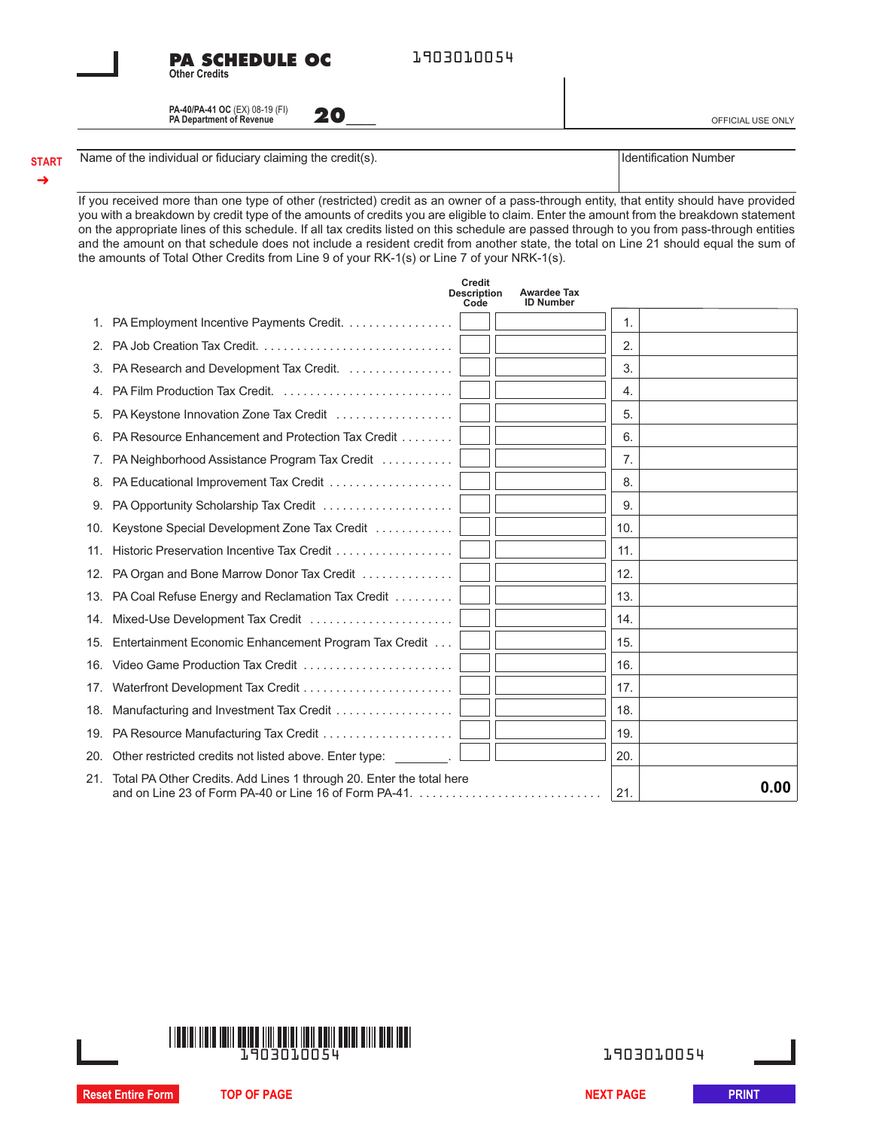| <b>PA SCHEDULE OC</b> |  |
|-----------------------|--|
|                       |  |
| <b>Other Credits</b>  |  |
|                       |  |

1903010054

**PA-40/PA-41 OC** (EX) 08-19 (FI) **PA Department of Revenue**

**20\_\_\_** OFFICIAL USE ONLY

**START** ➜ Name of the individual or fiduciary claiming the credit(s). In the state of the individual or fiduciary claiming the credit(s).

If you received more than one type of other (restricted) credit as an owner of a pass-through entity, that entity should have provided you with a breakdown by credit type of the amounts of credits you are eligible to claim. Enter the amount from the breakdown statement on the appropriate lines of this schedule. If all tax credits listed on this schedule are passed through to you from pass-through entities and the amount on that schedule does not include a resident credit from another state, the total on Line 21 should equal the sum of the amounts of Total Other Credits from Line 9 of your RK-1(s) or Line 7 of your NRK-1(s).

|     | <b>Credit</b><br><b>Awardee Tax</b><br><b>Description</b><br><b>ID Number</b><br>Code                                          |     |      |
|-----|--------------------------------------------------------------------------------------------------------------------------------|-----|------|
| 1.  | PA Employment Incentive Payments Credit.                                                                                       | 1.  |      |
| 2.  |                                                                                                                                | 2.  |      |
| 3.  | PA Research and Development Tax Credit.                                                                                        | 3.  |      |
| 4.  |                                                                                                                                | 4.  |      |
| 5.  | PA Keystone Innovation Zone Tax Credit                                                                                         | 5.  |      |
| 6.  | PA Resource Enhancement and Protection Tax Credit                                                                              | 6.  |      |
| 7.  | PA Neighborhood Assistance Program Tax Credit                                                                                  | 7.  |      |
| 8.  | PA Educational Improvement Tax Credit                                                                                          | 8.  |      |
| 9.  |                                                                                                                                | 9.  |      |
| 10. | Keystone Special Development Zone Tax Credit                                                                                   | 10. |      |
| 11. | Historic Preservation Incentive Tax Credit                                                                                     | 11. |      |
| 12. | PA Organ and Bone Marrow Donor Tax Credit                                                                                      | 12. |      |
| 13. | PA Coal Refuse Energy and Reclamation Tax Credit                                                                               | 13. |      |
| 14. | Mixed-Use Development Tax Credit                                                                                               | 14. |      |
| 15. | Entertainment Economic Enhancement Program Tax Credit                                                                          | 15. |      |
| 16. | Video Game Production Tax Credit                                                                                               | 16. |      |
| 17. |                                                                                                                                | 17. |      |
| 18. | Manufacturing and Investment Tax Credit                                                                                        | 18. |      |
| 19. |                                                                                                                                |     |      |
| 20. | Other restricted credits not listed above. Enter type: [100]                                                                   |     |      |
| 21. | Total PA Other Credits. Add Lines 1 through 20. Enter the total here<br>and on Line 23 of Form PA-40 or Line 16 of Form PA-41. |     | 0.00 |



**Reset Entire Form TOP OF PAGE** NEXT PAGE PRINT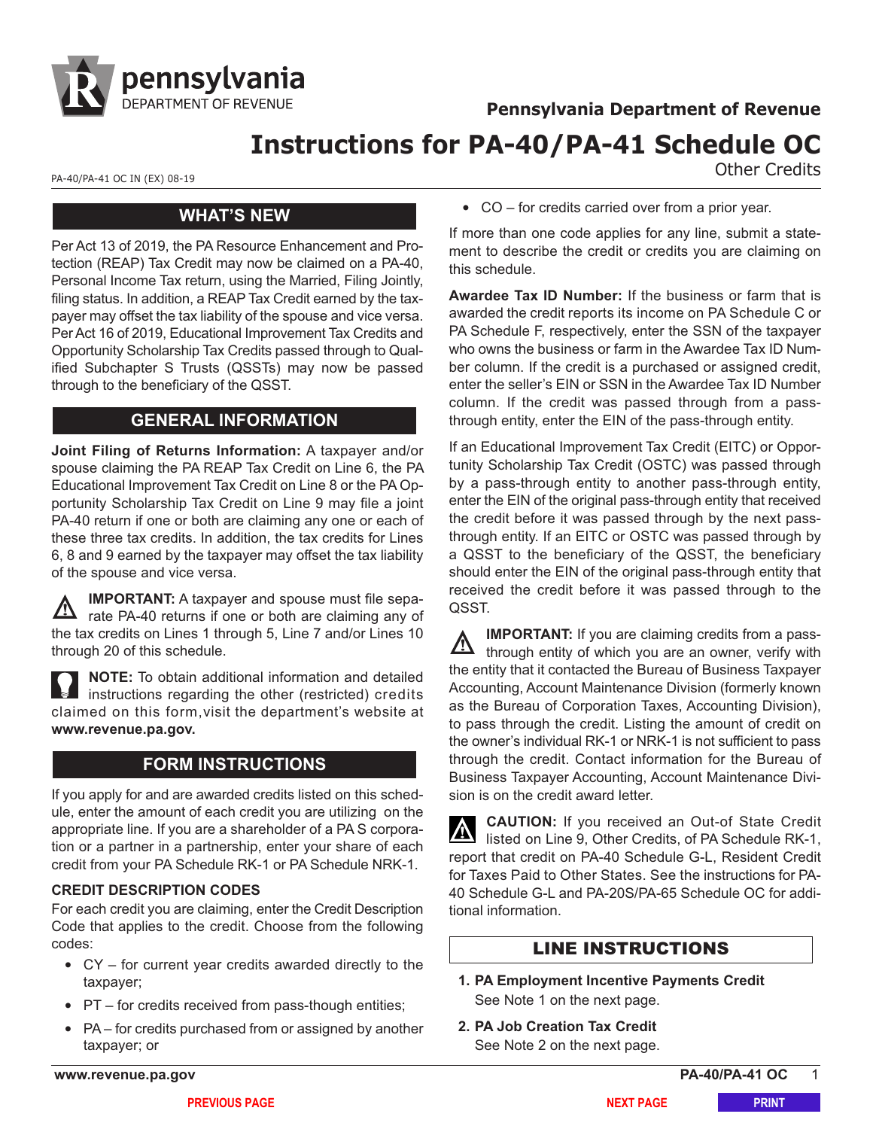

#### **Pennsylvania Department of Revenue**

# **Instructions for PA-40/PA-41 Schedule OC**

PA-40/PA-41 OC IN (EX) 08-19 **Other Credits** 

## **WHAT'S NEW**

Per Act 13 of 2019, the PA Resource Enhancement and Protection (REAP) Tax Credit may now be claimed on a PA-40, Personal Income Tax return, using the Married, Filing Jointly, filing status. In addition, a REAP Tax Credit earned by the taxpayer may offset the tax liability of the spouse and vice versa. Per Act 16 of 2019, Educational Improvement Tax Credits and Opportunity Scholarship Tax Credits passed through to Qualified Subchapter S Trusts (QSSTs) may now be passed through to the beneficiary of the QSST.

# **GENERAL INFORMATION**

**Joint Filing of Returns Information:** A taxpayer and/or spouse claiming the PA REAP Tax Credit on Line 6, the PA Educational Improvement Tax Credit on Line 8 or the PA Opportunity Scholarship Tax Credit on Line 9 may file a joint PA-40 return if one or both are claiming any one or each of these three tax credits. In addition, the tax credits for Lines 6, 8 and 9 earned by the taxpayer may offset the tax liability of the spouse and vice versa.

**IMPORTANT:** A taxpayer and spouse must file sepa- $\sqrt{N}$ rate PA-40 returns if one or both are claiming any of the tax credits on Lines 1 through 5, Line 7 and/or Lines 10 through 20 of this schedule.

**NOTE:** To obtain additional information and detailed instructions regarding the other (restricted) credits claimed on this form,visit the department's website at **www.revenue.pa.gov.**

# **FORM INSTRUCTIONS**

If you apply for and are awarded credits listed on this schedule, enter the amount of each credit you are utilizing on the appropriate line. If you are a shareholder of a PA S corporation or a partner in a partnership, enter your share of each credit from your PA Schedule RK-1 or PA Schedule NRK-1.

#### **CREDIT DESCRIPTION CODES**

For each credit you are claiming, enter the Credit Description Code that applies to the credit. Choose from the following codes:

- CY for current year credits awarded directly to the taxpayer;
- PT for credits received from pass-though entities;
- PA for credits purchased from or assigned by another taxpayer; or

• CO – for credits carried over from a prior year.

If more than one code applies for any line, submit a statement to describe the credit or credits you are claiming on this schedule.

**Awardee Tax ID Number:** If the business or farm that is awarded the credit reports its income on PA Schedule C or PA Schedule F, respectively, enter the SSN of the taxpayer who owns the business or farm in the Awardee Tax ID Number column. If the credit is a purchased or assigned credit, enter the seller's EIN or SSN in the Awardee Tax ID Number column. If the credit was passed through from a passthrough entity, enter the EIN of the pass-through entity.

If an Educational Improvement Tax Credit (EITC) or Opportunity Scholarship Tax Credit (OSTC) was passed through by a pass-through entity to another pass-through entity, enter the EIN of the original pass-through entity that received the credit before it was passed through by the next passthrough entity. If an EITC or OSTC was passed through by a QSST to the beneficiary of the QSST, the beneficiary should enter the EIN of the original pass-through entity that received the credit before it was passed through to the QSST.

**IMPORTANT:** If you are claiming credits from a pass- $\Delta$  through entity of which you are an owner, verify with the entity that it contacted the Bureau of Business Taxpayer Accounting, Account Maintenance Division (formerly known as the Bureau of Corporation Taxes, Accounting Division), to pass through the credit. Listing the amount of credit on the owner's individual RK-1 or NRK-1 is not sufficient to pass through the credit. Contact information for the Bureau of Business Taxpayer Accounting, Account Maintenance Division is on the credit award letter.

**CAUTION:** If you received an Out-of State Credit listed on Line 9, Other Credits, of PA Schedule RK-1, report that credit on PA-40 Schedule G-L, Resident Credit for Taxes Paid to Other States. See the instructions for PA-40 Schedule G-L and PA-20S/PA-65 Schedule OC for additional information.

### LINE INSTRUCTIONS

- **1. PA Employment Incentive Payments Credit** See Note 1 on the next page.
- **2. PA Job Creation Tax Credit** See Note 2 on the next page.